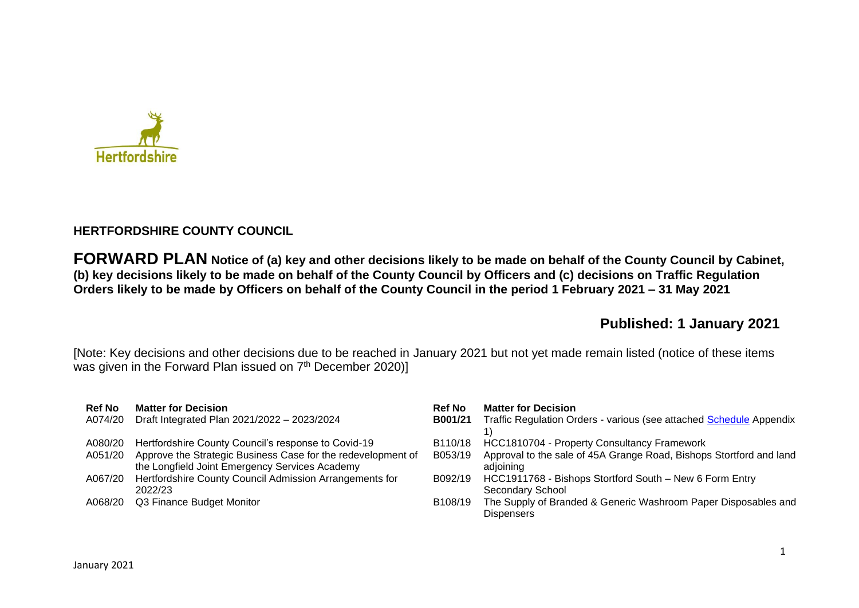

## **HERTFORDSHIRE COUNTY COUNCIL**

**FORWARD PLAN Notice of (a) key and other decisions likely to be made on behalf of the County Council by Cabinet, (b) key decisions likely to be made on behalf of the County Council by Officers and (c) decisions on Traffic Regulation Orders likely to be made by Officers on behalf of the County Council in the period 1 February 2021 – 31 May 2021** 

# **Published: 1 January 2021**

[Note: Key decisions and other decisions due to be reached in January 2021 but not yet made remain listed (notice of these items was given in the Forward Plan issued on 7<sup>th</sup> December 2020)]

| <b>Ref No</b><br>A074/20 | <b>Matter for Decision</b><br>Draft Integrated Plan 2021/2022 - 2023/2024                                      | <b>Ref No</b><br>B001/21 | <b>Matter for Decision</b><br>Traffic Regulation Orders - various (see attached Schedule Appendix |
|--------------------------|----------------------------------------------------------------------------------------------------------------|--------------------------|---------------------------------------------------------------------------------------------------|
| A080/20                  | Hertfordshire County Council's response to Covid-19                                                            | B110/18                  | HCC1810704 - Property Consultancy Framework                                                       |
| A051/20                  | Approve the Strategic Business Case for the redevelopment of<br>the Longfield Joint Emergency Services Academy | B053/19                  | Approval to the sale of 45A Grange Road, Bishops Stortford and land<br>adjoining                  |
| A067/20                  | Hertfordshire County Council Admission Arrangements for<br>2022/23                                             | B092/19                  | HCC1911768 - Bishops Stortford South - New 6 Form Entry<br>Secondary School                       |
| A068/20                  | Q3 Finance Budget Monitor                                                                                      | B108/19                  | The Supply of Branded & Generic Washroom Paper Disposables and<br><b>Dispensers</b>               |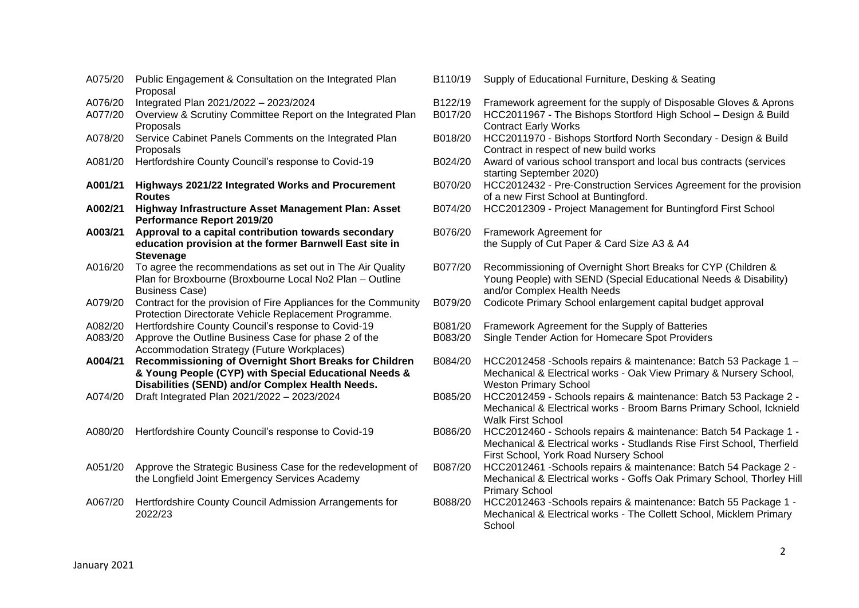| A075/20 | Public Engagement & Consultation on the Integrated Plan<br>Proposal                                                                                                 |
|---------|---------------------------------------------------------------------------------------------------------------------------------------------------------------------|
| A076/20 | Integrated Plan 2021/2022 - 2023/2024                                                                                                                               |
| A077/20 | Overview & Scrutiny Committee Report on the Integrated Plan<br>Proposals                                                                                            |
| A078/20 | Service Cabinet Panels Comments on the Integrated Plan<br>Proposals                                                                                                 |
| A081/20 | Hertfordshire County Council's response to Covid-19                                                                                                                 |
| A001/21 | Highways 2021/22 Integrated Works and Procurement<br><b>Routes</b>                                                                                                  |
| A002/21 | Highway Infrastructure Asset Management Plan: Asset<br>Performance Report 2019/20                                                                                   |
| A003/21 | Approval to a capital contribution towards secondary<br>education provision at the former Barnwell East site in<br><b>Stevenage</b>                                 |
| A016/20 | To agree the recommendations as set out in The Air Quality<br>Plan for Broxbourne (Broxbourne Local No2 Plan - Outline<br><b>Business Case)</b>                     |
| A079/20 | Contract for the provision of Fire Appliances for the Community<br>Protection Directorate Vehicle Replacement Programme.                                            |
| A082/20 | Hertfordshire County Council's response to Covid-19                                                                                                                 |
| A083/20 | Approve the Outline Business Case for phase 2 of the<br>Accommodation Strategy (Future Workplaces)                                                                  |
| A004/21 | Recommissioning of Overnight Short Breaks for Children<br>& Young People (CYP) with Special Educational Needs &<br>Disabilities (SEND) and/or Complex Health Needs. |
| A074/20 | Draft Integrated Plan 2021/2022 - 2023/2024                                                                                                                         |
| A080/20 | Hertfordshire County Council's response to Covid-19                                                                                                                 |
| A051/20 | Approve the Strategic Business Case for the redevelopment of<br>the Longfield Joint Emergency Services Academy                                                      |
| A067/20 | Hertfordshire County Council Admission Arrangements for<br>2022/23                                                                                                  |
|         |                                                                                                                                                                     |

- B110/19 Supply of Educational Furniture, Desking & Seating
- B122/19 Framework agreement for the supply of Disposable Gloves & Aprons
- B017/20 HCC2011967 The Bishops Stortford High School Design & Build Contract Early Works
- B018/20 HCC2011970 Bishops Stortford North Secondary Design & Build Contract in respect of new build works
- B024/20 Award of various school transport and local bus contracts (services starting September 2020)
- B070/20 HCC2012432 Pre-Construction Services Agreement for the provision of a new First School at Buntingford.
- B074/20 HCC2012309 Project Management for Buntingford First School
- B076/20 Framework Agreement for the Supply of Cut Paper & Card Size A3 & A4
- B077/20 Recommissioning of Overnight Short Breaks for CYP (Children & Young People) with SEND (Special Educational Needs & Disability) and/or Complex Health Needs
- B079/20 Codicote Primary School enlargement capital budget approval
- B081/20 Framework Agreement for the Supply of Batteries
- B083/20 Single Tender Action for Homecare Spot Providers
- B084/20 HCC2012458 -Schools repairs & maintenance: Batch 53 Package 1 Mechanical & Electrical works - Oak View Primary & Nursery School, Weston Primary School
- B085/20 HCC2012459 Schools repairs & maintenance: Batch 53 Package 2 -Mechanical & Electrical works - Broom Barns Primary School, Icknield Walk First School
- B086/20 HCC2012460 Schools repairs & maintenance: Batch 54 Package 1 -Mechanical & Electrical works - Studlands Rise First School, Therfield First School, York Road Nursery School
- B087/20 HCC2012461 -Schools repairs & maintenance: Batch 54 Package 2 Mechanical & Electrical works - Goffs Oak Primary School, Thorley Hill Primary School
- B088/20 HCC2012463 -Schools repairs & maintenance: Batch 55 Package 1 Mechanical & Electrical works - The Collett School, Micklem Primary **School**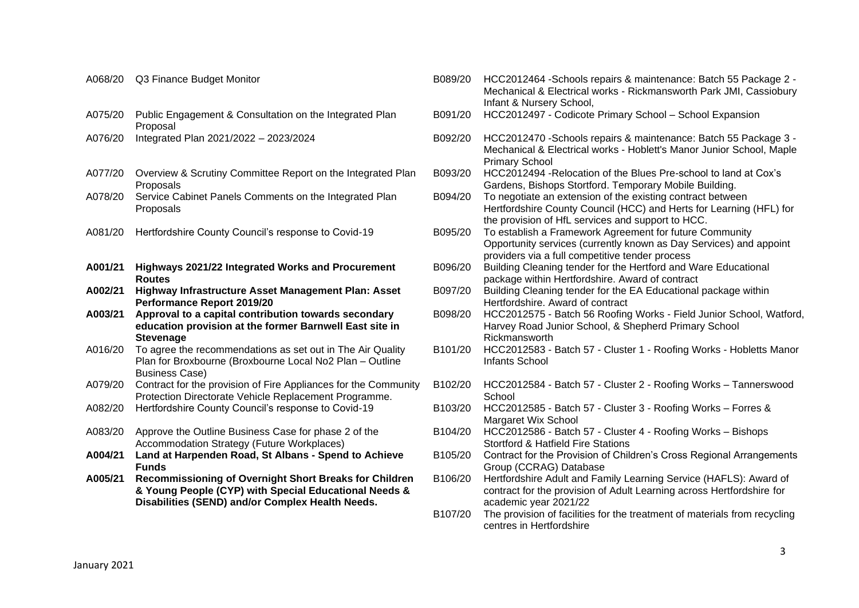|         | Proposal                                                                                                                                                            |
|---------|---------------------------------------------------------------------------------------------------------------------------------------------------------------------|
| A076/20 | Integrated Plan 2021/2022 - 2023/2024                                                                                                                               |
| A077/20 | Overview & Scrutiny Committee Report on the Integrated Plan<br>Proposals                                                                                            |
| A078/20 | Service Cabinet Panels Comments on the Integrated Plan<br>Proposals                                                                                                 |
| A081/20 | Hertfordshire County Council's response to Covid-19                                                                                                                 |
| A001/21 | Highways 2021/22 Integrated Works and Procurement<br><b>Routes</b>                                                                                                  |
| A002/21 | Highway Infrastructure Asset Management Plan: Asset<br>Performance Report 2019/20                                                                                   |
| A003/21 | Approval to a capital contribution towards secondary<br>education provision at the former Barnwell East site in<br><b>Stevenage</b>                                 |
| A016/20 | To agree the recommendations as set out in The Air Quality<br>Plan for Broxbourne (Broxbourne Local No2 Plan - Outline<br><b>Business Case)</b>                     |
| A079/20 | Contract for the provision of Fire Appliances for the Community<br>Protection Directorate Vehicle Replacement Programme.                                            |
| A082/20 | Hertfordshire County Council's response to Covid-19                                                                                                                 |
| A083/20 | Approve the Outline Business Case for phase 2 of the<br>Accommodation Strategy (Future Workplaces)                                                                  |
| A004/21 | Land at Harpenden Road, St Albans - Spend to Achieve<br><b>Funds</b>                                                                                                |
| A005/21 | Recommissioning of Overnight Short Breaks for Children<br>& Young People (CYP) with Special Educational Needs &<br>Disabilities (SEND) and/or Complex Health Needs. |
|         |                                                                                                                                                                     |

A075/20 Public Engagement & Consultation on the Integrated Plan

Mechanical & Electrical works - Rickmansworth Park JMI, Cassiobury Infant & Nursery School, B091/20 HCC2012497 - Codicote Primary School – School Expansion A076/20 Integrated Plan 2021/2022 – 2023/2024 B092/20 HCC2012470 -Schools repairs & maintenance: Batch 55 Package 3 - Mechanical & Electrical works - Hoblett's Manor Junior School, Maple Primary School B093/20 HCC2012494 -Relocation of the Blues Pre-school to land at Cox's Gardens, Bishops Stortford. Temporary Mobile Building. B094/20 To negotiate an extension of the existing contract between Hertfordshire County Council (HCC) and Herts for Learning (HFL) for the provision of HfL services and support to HCC. A081/20 Hertfordshire County Council's response to Covid-19 B095/20 To establish a Framework Agreement for future Community Opportunity services (currently known as Day Services) and appoint providers via a full competitive tender process B096/20 Building Cleaning tender for the Hertford and Ware Educational package within Hertfordshire. Award of contract B097/20 Building Cleaning tender for the EA Educational package within Hertfordshire. Award of contract B098/20 HCC2012575 - Batch 56 Roofing Works - Field Junior School, Watford, Harvey Road Junior School, & Shepherd Primary School Rickmansworth B101/20 HCC2012583 - Batch 57 - Cluster 1 - Roofing Works - Hobletts Manor Infants School B102/20 HCC2012584 - Batch 57 - Cluster 2 - Roofing Works – Tannerswood **School** A082/20 Hertfordshire County Council's response to Covid-19 B103/20 HCC2012585 - Batch 57 - Cluster 3 - Roofing Works – Forres & Margaret Wix School B104/20 HCC2012586 - Batch 57 - Cluster 4 - Roofing Works – Bishops Stortford & Hatfield Fire Stations B105/20 Contract for the Provision of Children's Cross Regional Arrangements Group (CCRAG) Database B106/20 Hertfordshire Adult and Family Learning Service (HAFLS): Award of contract for the provision of Adult Learning across Hertfordshire for academic year 2021/22 B107/20 The provision of facilities for the treatment of materials from recycling centres in Hertfordshire

A068/20 Q3 Finance Budget Monitor **Bureau Community B089/20 HCC2012464** -Schools repairs & maintenance: Batch 55 Package 2 -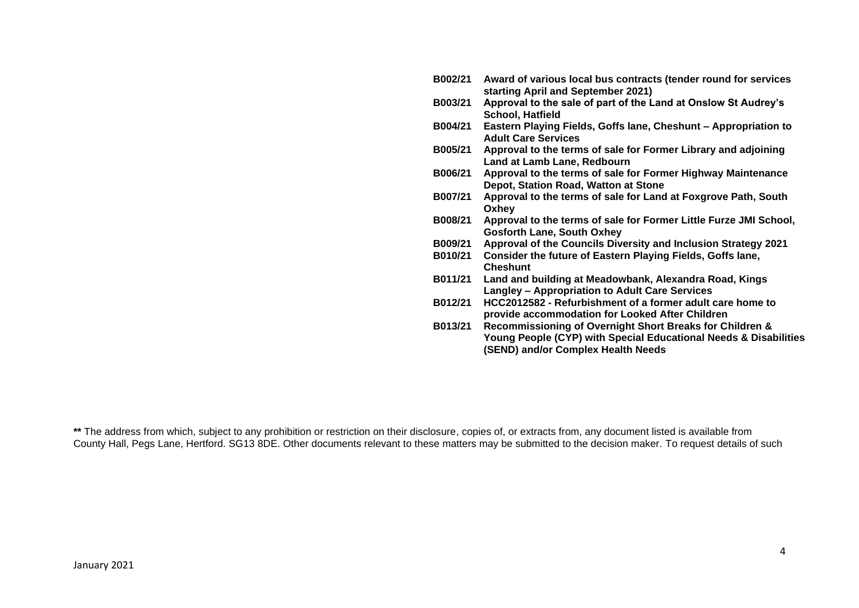| B002/21 | Award of various local bus contracts (tender round for services<br>starting April and September 2021)                                                              |
|---------|--------------------------------------------------------------------------------------------------------------------------------------------------------------------|
| B003/21 | Approval to the sale of part of the Land at Onslow St Audrey's                                                                                                     |
|         | <b>School, Hatfield</b>                                                                                                                                            |
| B004/21 | Eastern Playing Fields, Goffs lane, Cheshunt - Appropriation to<br><b>Adult Care Services</b>                                                                      |
| B005/21 | Approval to the terms of sale for Former Library and adjoining<br>Land at Lamb Lane, Redbourn                                                                      |
| B006/21 | Approval to the terms of sale for Former Highway Maintenance<br>Depot, Station Road, Watton at Stone                                                               |
| B007/21 | Approval to the terms of sale for Land at Foxgrove Path, South<br>Oxhey                                                                                            |
| B008/21 | Approval to the terms of sale for Former Little Furze JMI School,<br><b>Gosforth Lane, South Oxhey</b>                                                             |
| B009/21 | Approval of the Councils Diversity and Inclusion Strategy 2021                                                                                                     |
| B010/21 | Consider the future of Eastern Playing Fields, Goffs lane,<br><b>Cheshunt</b>                                                                                      |
| B011/21 | Land and building at Meadowbank, Alexandra Road, Kings<br><b>Langley - Appropriation to Adult Care Services</b>                                                    |
| B012/21 | HCC2012582 - Refurbishment of a former adult care home to<br>provide accommodation for Looked After Children                                                       |
| B013/21 | Recommissioning of Overnight Short Breaks for Children &<br>Young People (CYP) with Special Educational Needs & Disabilities<br>(SEND) and/or Complex Health Needs |

**\*\*** The address from which, subject to any prohibition or restriction on their disclosure, copies of, or extracts from, any document listed is available from County Hall, Pegs Lane, Hertford. SG13 8DE. Other documents relevant to these matters may be submitted to the decision maker. To request details of such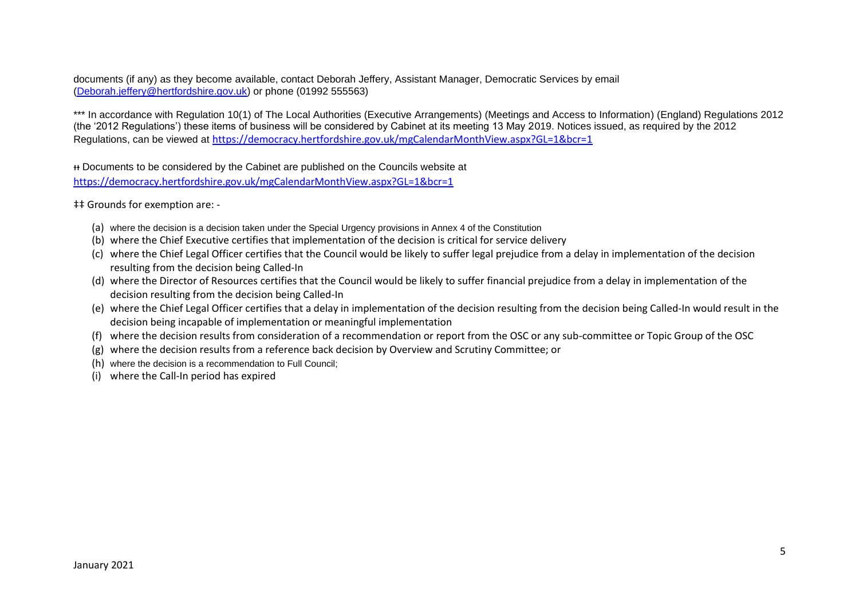documents (if any) as they become available, contact Deborah Jeffery, Assistant Manager, Democratic Services by email [\(Deborah.jeffery@hertfordshire.gov.uk\)](mailto:Deborah.jeffery@hertfordshire.gov.uk) or phone (01992 555563)

\*\*\* In accordance with Regulation 10(1) of The Local Authorities (Executive Arrangements) (Meetings and Access to Information) (England) Regulations 2012 (the '2012 Regulations') these items of business will be considered by Cabinet at its meeting 13 May 2019. Notices issued, as required by the 2012 Regulations, can be viewed at <https://democracy.hertfordshire.gov.uk/mgCalendarMonthView.aspx?GL=1&bcr=1>

ᵻᵻ Documents to be considered by the Cabinet are published on the Councils website at <https://democracy.hertfordshire.gov.uk/mgCalendarMonthView.aspx?GL=1&bcr=1>

‡‡ Grounds for exemption are: -

- (a) where the decision is a decision taken under the Special Urgency provisions in Annex 4 of the Constitution
- (b) where the Chief Executive certifies that implementation of the decision is critical for service delivery
- (c) where the Chief Legal Officer certifies that the Council would be likely to suffer legal prejudice from a delay in implementation of the decision resulting from the decision being Called-In
- (d) where the Director of Resources certifies that the Council would be likely to suffer financial prejudice from a delay in implementation of the decision resulting from the decision being Called-In
- (e) where the Chief Legal Officer certifies that a delay in implementation of the decision resulting from the decision being Called-In would result in the decision being incapable of implementation or meaningful implementation
- (f) where the decision results from consideration of a recommendation or report from the OSC or any sub-committee or Topic Group of the OSC
- (g) where the decision results from a reference back decision by Overview and Scrutiny Committee; or
- (h) where the decision is a recommendation to Full Council;
- (i) where the Call-In period has expired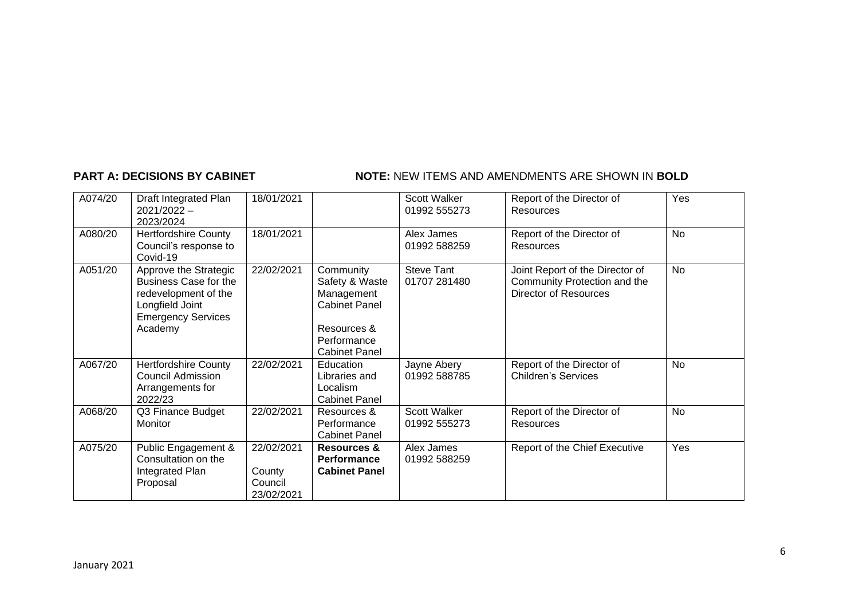## **PART A: DECISIONS BY CABINET NOTE:** NEW ITEMS AND AMENDMENTS ARE SHOWN IN BOLD

| A074/20 | Draft Integrated Plan<br>$2021/2022 -$<br>2023/2024                                                                                      | 18/01/2021                                    |                                                                                                                         | Scott Walker<br>01992 555273        | Report of the Director of<br>Resources                                                          | Yes       |
|---------|------------------------------------------------------------------------------------------------------------------------------------------|-----------------------------------------------|-------------------------------------------------------------------------------------------------------------------------|-------------------------------------|-------------------------------------------------------------------------------------------------|-----------|
| A080/20 | <b>Hertfordshire County</b><br>Council's response to<br>Covid-19                                                                         | 18/01/2021                                    |                                                                                                                         | Alex James<br>01992 588259          | Report of the Director of<br>Resources                                                          | <b>No</b> |
| A051/20 | Approve the Strategic<br><b>Business Case for the</b><br>redevelopment of the<br>Longfield Joint<br><b>Emergency Services</b><br>Academy | 22/02/2021                                    | Community<br>Safety & Waste<br>Management<br><b>Cabinet Panel</b><br>Resources &<br>Performance<br><b>Cabinet Panel</b> | <b>Steve Tant</b><br>01707 281480   | Joint Report of the Director of<br>Community Protection and the<br><b>Director of Resources</b> | No        |
| A067/20 | <b>Hertfordshire County</b><br><b>Council Admission</b><br>Arrangements for<br>2022/23                                                   | 22/02/2021                                    | Education<br>Libraries and<br>Localism<br><b>Cabinet Panel</b>                                                          | Jayne Abery<br>01992 588785         | Report of the Director of<br><b>Children's Services</b>                                         | <b>No</b> |
| A068/20 | Q3 Finance Budget<br>Monitor                                                                                                             | 22/02/2021                                    | Resources &<br>Performance<br><b>Cabinet Panel</b>                                                                      | <b>Scott Walker</b><br>01992 555273 | Report of the Director of<br>Resources                                                          | No        |
| A075/20 | Public Engagement &<br>Consultation on the<br>Integrated Plan<br>Proposal                                                                | 22/02/2021<br>County<br>Council<br>23/02/2021 | <b>Resources &amp;</b><br>Performance<br><b>Cabinet Panel</b>                                                           | Alex James<br>01992 588259          | Report of the Chief Executive                                                                   | Yes       |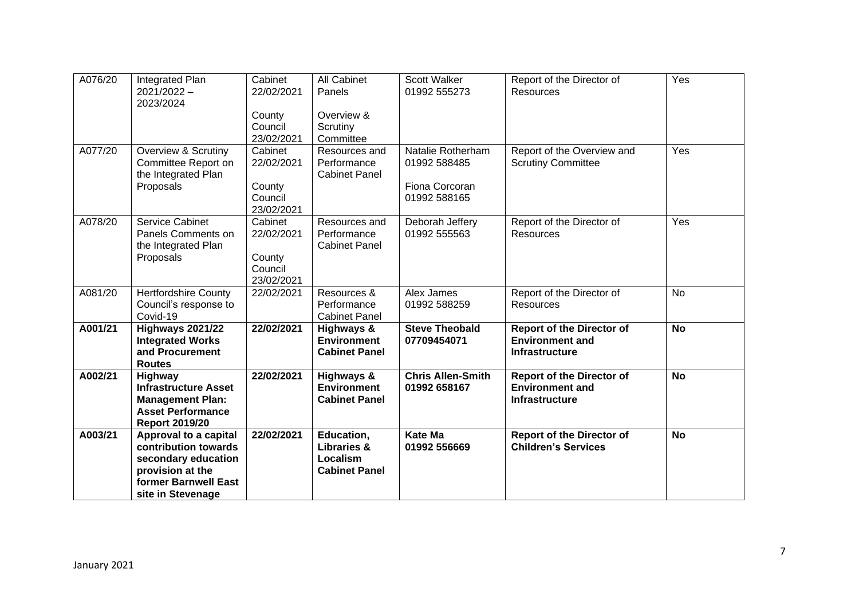| A076/20 | Integrated Plan<br>$2021/2022 -$                   | Cabinet<br>22/02/2021 | <b>All Cabinet</b><br>Panels        | <b>Scott Walker</b><br>01992 555273  | Report of the Director of<br><b>Resources</b>              | Yes       |
|---------|----------------------------------------------------|-----------------------|-------------------------------------|--------------------------------------|------------------------------------------------------------|-----------|
|         | 2023/2024                                          |                       |                                     |                                      |                                                            |           |
|         |                                                    | County                | Overview &                          |                                      |                                                            |           |
|         |                                                    | Council               | Scrutiny                            |                                      |                                                            |           |
|         |                                                    | 23/02/2021            | Committee                           |                                      |                                                            |           |
| A077/20 | <b>Overview &amp; Scrutiny</b>                     | Cabinet<br>22/02/2021 | Resources and                       | Natalie Rotherham<br>01992 588485    | Report of the Overview and                                 | Yes       |
|         | Committee Report on<br>the Integrated Plan         |                       | Performance<br><b>Cabinet Panel</b> |                                      | <b>Scrutiny Committee</b>                                  |           |
|         | Proposals                                          | County                |                                     | Fiona Corcoran                       |                                                            |           |
|         |                                                    | Council               |                                     | 01992 588165                         |                                                            |           |
|         |                                                    | 23/02/2021            |                                     |                                      |                                                            |           |
| A078/20 | <b>Service Cabinet</b>                             | Cabinet               | Resources and                       | Deborah Jeffery                      | Report of the Director of                                  | Yes       |
|         | Panels Comments on                                 | 22/02/2021            | Performance<br><b>Cabinet Panel</b> | 01992 555563                         | <b>Resources</b>                                           |           |
|         | the Integrated Plan<br>Proposals                   | County                |                                     |                                      |                                                            |           |
|         |                                                    | Council               |                                     |                                      |                                                            |           |
|         |                                                    | 23/02/2021            |                                     |                                      |                                                            |           |
| A081/20 | <b>Hertfordshire County</b>                        | 22/02/2021            | Resources &                         | Alex James                           | Report of the Director of                                  | <b>No</b> |
|         | Council's response to                              |                       | Performance                         | 01992 588259                         | <b>Resources</b>                                           |           |
|         | Covid-19                                           |                       | <b>Cabinet Panel</b>                |                                      |                                                            |           |
| A001/21 | <b>Highways 2021/22</b><br><b>Integrated Works</b> | 22/02/2021            | Highways &<br><b>Environment</b>    | <b>Steve Theobald</b><br>07709454071 | <b>Report of the Director of</b><br><b>Environment and</b> | <b>No</b> |
|         | and Procurement                                    |                       | <b>Cabinet Panel</b>                |                                      | <b>Infrastructure</b>                                      |           |
|         | <b>Routes</b>                                      |                       |                                     |                                      |                                                            |           |
| A002/21 | Highway                                            | 22/02/2021            | <b>Highways &amp;</b>               | <b>Chris Allen-Smith</b>             | <b>Report of the Director of</b>                           | <b>No</b> |
|         | <b>Infrastructure Asset</b>                        |                       | <b>Environment</b>                  | 01992 658167                         | <b>Environment and</b>                                     |           |
|         | <b>Management Plan:</b>                            |                       | <b>Cabinet Panel</b>                |                                      | <b>Infrastructure</b>                                      |           |
|         | <b>Asset Performance</b><br><b>Report 2019/20</b>  |                       |                                     |                                      |                                                            |           |
| A003/21 | Approval to a capital                              | 22/02/2021            | Education,                          | <b>Kate Ma</b>                       | <b>Report of the Director of</b>                           | <b>No</b> |
|         | contribution towards                               |                       | <b>Libraries &amp;</b>              | 01992 556669                         | <b>Children's Services</b>                                 |           |
|         | secondary education                                |                       | Localism                            |                                      |                                                            |           |
|         | provision at the                                   |                       | <b>Cabinet Panel</b>                |                                      |                                                            |           |
|         | former Barnwell East                               |                       |                                     |                                      |                                                            |           |
|         | site in Stevenage                                  |                       |                                     |                                      |                                                            |           |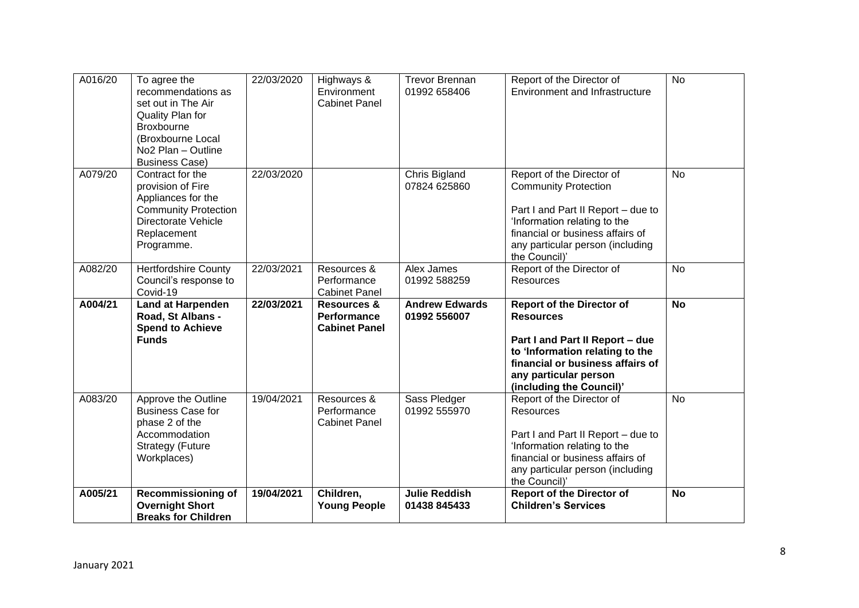| A016/20            | To agree the<br>recommendations as<br>set out in The Air<br>Quality Plan for<br>Broxbourne<br>(Broxbourne Local<br>No <sub>2</sub> Plan - Outline<br><b>Business Case)</b> | 22/03/2020               | Highways &<br>Environment<br><b>Cabinet Panel</b>               | <b>Trevor Brennan</b><br>01992 658406                | Report of the Director of<br>Environment and Infrastructure                                                                                                                                                                                      | $\overline{N}$         |
|--------------------|----------------------------------------------------------------------------------------------------------------------------------------------------------------------------|--------------------------|-----------------------------------------------------------------|------------------------------------------------------|--------------------------------------------------------------------------------------------------------------------------------------------------------------------------------------------------------------------------------------------------|------------------------|
| A079/20            | Contract for the<br>provision of Fire<br>Appliances for the<br><b>Community Protection</b><br>Directorate Vehicle<br>Replacement<br>Programme.                             | 22/03/2020               |                                                                 | Chris Bigland<br>07824 625860                        | Report of the Director of<br><b>Community Protection</b><br>Part I and Part II Report - due to<br>'Information relating to the<br>financial or business affairs of<br>any particular person (including<br>the Council)'                          | <b>No</b>              |
| A082/20            | <b>Hertfordshire County</b><br>Council's response to<br>Covid-19                                                                                                           | 22/03/2021               | Resources &<br>Performance<br><b>Cabinet Panel</b>              | Alex James<br>01992 588259                           | Report of the Director of<br>Resources                                                                                                                                                                                                           | <b>No</b>              |
| A004/21            | <b>Land at Harpenden</b>                                                                                                                                                   | 22/03/2021               | <b>Resources &amp;</b>                                          | <b>Andrew Edwards</b>                                | <b>Report of the Director of</b>                                                                                                                                                                                                                 | <b>No</b>              |
|                    | Road, St Albans -<br><b>Spend to Achieve</b><br><b>Funds</b>                                                                                                               |                          | <b>Performance</b><br><b>Cabinet Panel</b>                      | 01992 556007                                         | <b>Resources</b><br>Part I and Part II Report - due<br>to 'Information relating to the<br>financial or business affairs of<br>any particular person<br>(including the Council)'                                                                  |                        |
| A083/20<br>A005/21 | Approve the Outline<br><b>Business Case for</b><br>phase 2 of the<br>Accommodation<br><b>Strategy (Future</b><br>Workplaces)<br><b>Recommissioning of</b>                  | 19/04/2021<br>19/04/2021 | Resources &<br>Performance<br><b>Cabinet Panel</b><br>Children, | Sass Pledger<br>01992 555970<br><b>Julie Reddish</b> | Report of the Director of<br><b>Resources</b><br>Part I and Part II Report - due to<br>'Information relating to the<br>financial or business affairs of<br>any particular person (including<br>the Council)'<br><b>Report of the Director of</b> | <b>No</b><br><b>No</b> |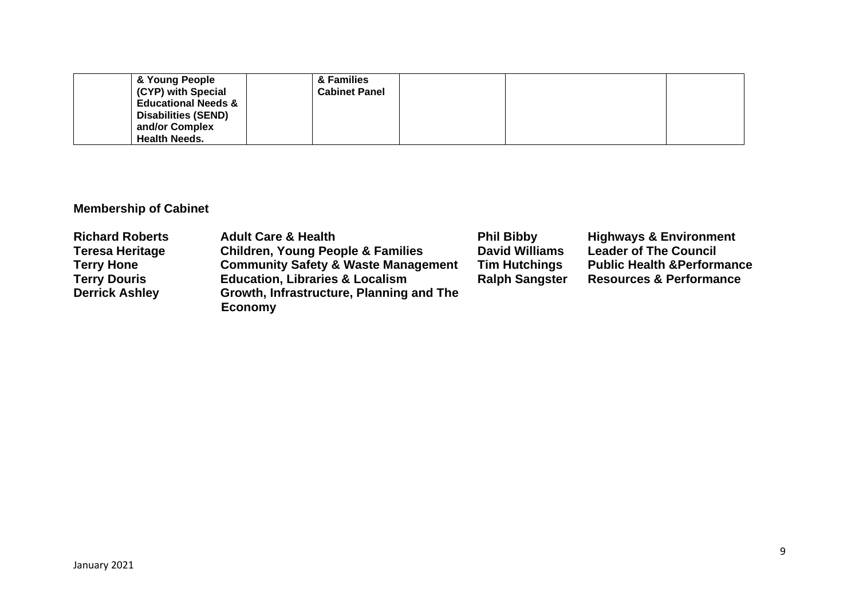| & Young People                 | & Families           |  |  |
|--------------------------------|----------------------|--|--|
| (CYP) with Special             | <b>Cabinet Panel</b> |  |  |
| <b>Educational Needs &amp;</b> |                      |  |  |
| <b>Disabilities (SEND)</b>     |                      |  |  |
| and/or Complex                 |                      |  |  |
| <b>Health Needs.</b>           |                      |  |  |

# **Membership of Cabinet**

| <b>Richard Roberts</b> | <b>Adult Care &amp; Health</b>                 | <b>Phil Bibby</b>     | <b>Highways &amp; Environment</b>      |
|------------------------|------------------------------------------------|-----------------------|----------------------------------------|
| <b>Teresa Heritage</b> | <b>Children, Young People &amp; Families</b>   | <b>David Williams</b> | <b>Leader of The Council</b>           |
| <b>Terry Hone</b>      | <b>Community Safety &amp; Waste Management</b> | <b>Tim Hutchings</b>  | <b>Public Health &amp; Performance</b> |
| <b>Terry Douris</b>    | <b>Education, Libraries &amp; Localism</b>     | <b>Ralph Sangster</b> | <b>Resources &amp; Performance</b>     |
| <b>Derrick Ashley</b>  | Growth, Infrastructure, Planning and The       |                       |                                        |
|                        | <b>Economy</b>                                 |                       |                                        |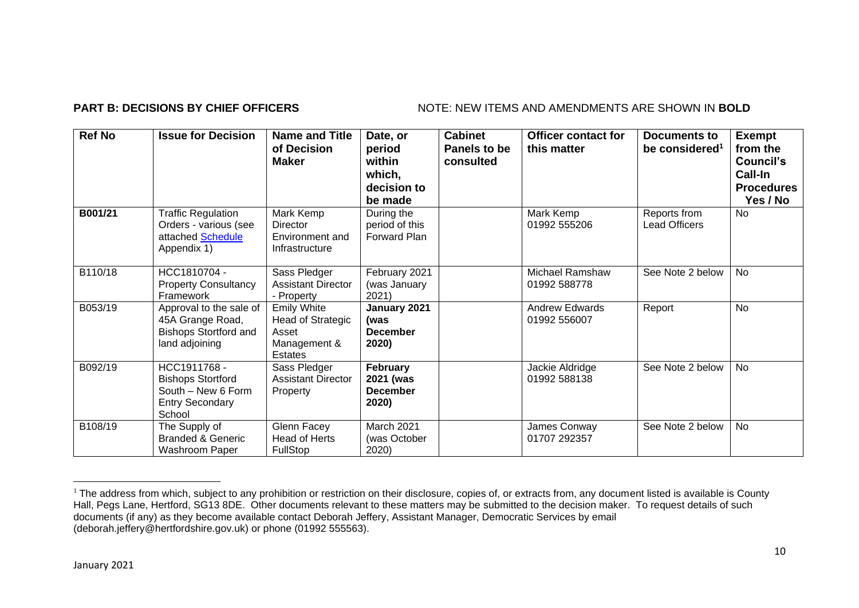## **PART B: DECISIONS BY CHIEF OFFICERS** NOTE: NEW ITEMS AND AMENDMENTS ARE SHOWN IN BOLD

| <b>Ref No</b> | <b>Issue for Decision</b>                                                                          | <b>Name and Title</b><br>of Decision<br><b>Maker</b>                               | Date, or<br>period<br>within<br>which,<br>decision to<br>be made | <b>Cabinet</b><br>Panels to be<br>consulted | <b>Officer contact for</b><br>this matter | Documents to<br>be considered <sup>1</sup> | <b>Exempt</b><br>from the<br>Council's<br>Call-In<br><b>Procedures</b><br>Yes / No |
|---------------|----------------------------------------------------------------------------------------------------|------------------------------------------------------------------------------------|------------------------------------------------------------------|---------------------------------------------|-------------------------------------------|--------------------------------------------|------------------------------------------------------------------------------------|
| B001/21       | <b>Traffic Regulation</b><br>Orders - various (see<br>attached Schedule<br>Appendix 1)             | Mark Kemp<br>Director<br>Environment and<br>Infrastructure                         | During the<br>period of this<br>Forward Plan                     |                                             | Mark Kemp<br>01992 555206                 | Reports from<br><b>Lead Officers</b>       | No                                                                                 |
| B110/18       | HCC1810704 -<br><b>Property Consultancy</b><br>Framework                                           | Sass Pledger<br><b>Assistant Director</b><br>- Property                            | February 2021<br>(was January<br>2021)                           |                                             | <b>Michael Ramshaw</b><br>01992 588778    | See Note 2 below                           | No                                                                                 |
| B053/19       | Approval to the sale of<br>45A Grange Road,<br><b>Bishops Stortford and</b><br>land adjoining      | <b>Emily White</b><br>Head of Strategic<br>Asset<br>Management &<br><b>Estates</b> | January 2021<br>(was<br><b>December</b><br>2020)                 |                                             | <b>Andrew Edwards</b><br>01992 556007     | Report                                     | No                                                                                 |
| B092/19       | HCC1911768 -<br><b>Bishops Stortford</b><br>South - New 6 Form<br><b>Entry Secondary</b><br>School | Sass Pledger<br><b>Assistant Director</b><br>Property                              | February<br>2021 (was<br><b>December</b><br>2020)                |                                             | Jackie Aldridge<br>01992 588138           | See Note 2 below                           | No                                                                                 |
| B108/19       | The Supply of<br><b>Branded &amp; Generic</b><br>Washroom Paper                                    | Glenn Facey<br>Head of Herts<br><b>FullStop</b>                                    | March 2021<br>(was October<br>2020)                              |                                             | James Conway<br>01707 292357              | See Note 2 below                           | No                                                                                 |

<sup>&</sup>lt;sup>1</sup> The address from which, subject to any prohibition or restriction on their disclosure, copies of, or extracts from, any document listed is available is County Hall, Pegs Lane, Hertford, SG13 8DE. Other documents relevant to these matters may be submitted to the decision maker. To request details of such documents (if any) as they become available contact Deborah Jeffery, Assistant Manager, Democratic Services by email (deborah.jeffery@hertfordshire.gov.uk) or phone (01992 555563).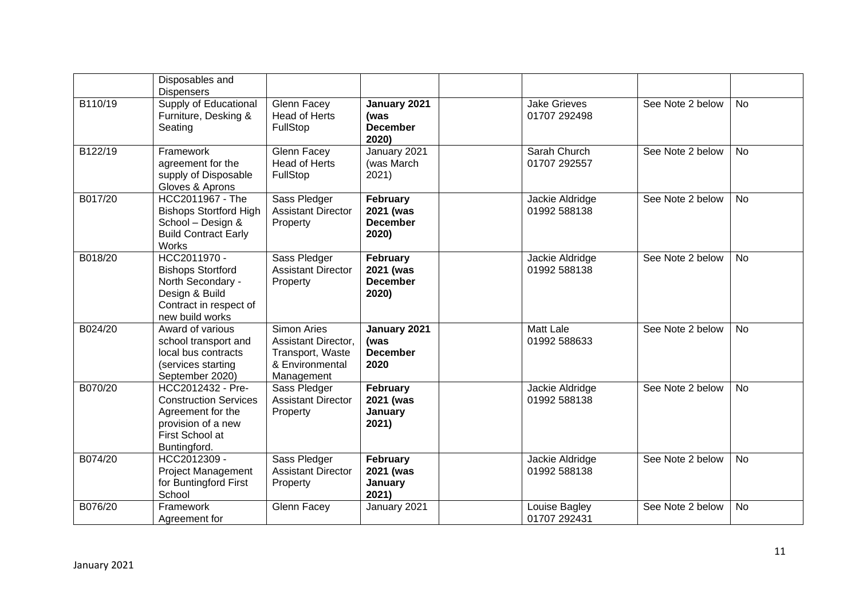|         | Disposables and<br><b>Dispensers</b>                                                                                            |                                                                                         |                                                   |                                     |                  |           |
|---------|---------------------------------------------------------------------------------------------------------------------------------|-----------------------------------------------------------------------------------------|---------------------------------------------------|-------------------------------------|------------------|-----------|
| B110/19 | Supply of Educational<br>Furniture, Desking &<br>Seating                                                                        | Glenn Facey<br><b>Head of Herts</b><br>FullStop                                         | January 2021<br>(was<br><b>December</b><br>2020)  | <b>Jake Grieves</b><br>01707 292498 | See Note 2 below | <b>No</b> |
| B122/19 | Framework<br>agreement for the<br>supply of Disposable<br>Gloves & Aprons                                                       | Glenn Facey<br><b>Head of Herts</b><br>FullStop                                         | January 2021<br>(was March<br>2021)               | Sarah Church<br>01707 292557        | See Note 2 below | <b>No</b> |
| B017/20 | HCC2011967 - The<br><b>Bishops Stortford High</b><br>School - Design &<br><b>Build Contract Early</b><br>Works                  | Sass Pledger<br><b>Assistant Director</b><br>Property                                   | February<br>2021 (was<br><b>December</b><br>2020) | Jackie Aldridge<br>01992 588138     | See Note 2 below | <b>No</b> |
| B018/20 | HCC2011970 -<br><b>Bishops Stortford</b><br>North Secondary -<br>Design & Build<br>Contract in respect of<br>new build works    | Sass Pledger<br><b>Assistant Director</b><br>Property                                   | February<br>2021 (was<br><b>December</b><br>2020) | Jackie Aldridge<br>01992 588138     | See Note 2 below | <b>No</b> |
| B024/20 | Award of various<br>school transport and<br>local bus contracts<br>(services starting<br>September 2020)                        | Simon Aries<br>Assistant Director,<br>Transport, Waste<br>& Environmental<br>Management | January 2021<br>(was<br><b>December</b><br>2020   | <b>Matt Lale</b><br>01992 588633    | See Note 2 below | <b>No</b> |
| B070/20 | HCC2012432 - Pre-<br><b>Construction Services</b><br>Agreement for the<br>provision of a new<br>First School at<br>Buntingford. | Sass Pledger<br><b>Assistant Director</b><br>Property                                   | February<br>2021 (was<br>January<br>2021)         | Jackie Aldridge<br>01992 588138     | See Note 2 below | No        |
| B074/20 | HCC2012309 -<br><b>Project Management</b><br>for Buntingford First<br>School                                                    | Sass Pledger<br><b>Assistant Director</b><br>Property                                   | February<br>2021 (was<br>January<br>2021)         | Jackie Aldridge<br>01992 588138     | See Note 2 below | <b>No</b> |
| B076/20 | Framework<br>Agreement for                                                                                                      | Glenn Facey                                                                             | January 2021                                      | Louise Bagley<br>01707 292431       | See Note 2 below | <b>No</b> |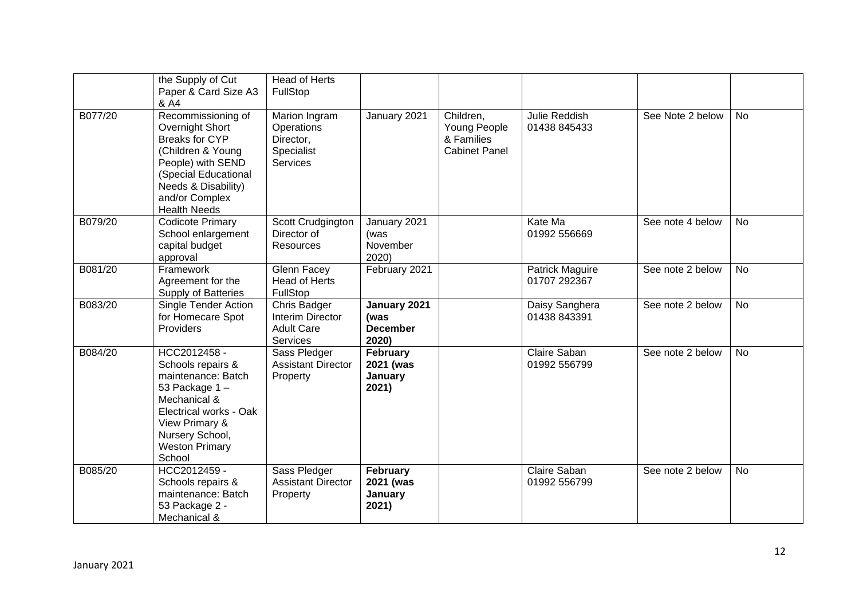|         | the Supply of Cut<br>Paper & Card Size A3<br>& A4                                                                                                                                                | <b>Head of Herts</b><br>FullStop                                          |                                                  |                                                                 |                                 |                  |           |
|---------|--------------------------------------------------------------------------------------------------------------------------------------------------------------------------------------------------|---------------------------------------------------------------------------|--------------------------------------------------|-----------------------------------------------------------------|---------------------------------|------------------|-----------|
| B077/20 | Recommissioning of<br>Overnight Short<br><b>Breaks for CYP</b><br>(Children & Young<br>People) with SEND<br>(Special Educational<br>Needs & Disability)<br>and/or Complex<br><b>Health Needs</b> | Marion Ingram<br>Operations<br>Director,<br>Specialist<br><b>Services</b> | January 2021                                     | Children,<br>Young People<br>& Families<br><b>Cabinet Panel</b> | Julie Reddish<br>01438 845433   | See Note 2 below | <b>No</b> |
| B079/20 | <b>Codicote Primary</b><br>School enlargement<br>capital budget<br>approval                                                                                                                      | Scott Crudgington<br>Director of<br>Resources                             | January 2021<br>(was<br>November<br>2020)        |                                                                 | Kate Ma<br>01992 556669         | See note 4 below | <b>No</b> |
| B081/20 | Framework<br>Agreement for the<br>Supply of Batteries                                                                                                                                            | <b>Glenn Facey</b><br><b>Head of Herts</b><br>FullStop                    | February 2021                                    |                                                                 | Patrick Maguire<br>01707 292367 | See note 2 below | <b>No</b> |
| B083/20 | Single Tender Action<br>for Homecare Spot<br>Providers                                                                                                                                           | Chris Badger<br>Interim Director<br><b>Adult Care</b><br>Services         | January 2021<br>(was<br><b>December</b><br>2020) |                                                                 | Daisy Sanghera<br>01438 843391  | See note 2 below | No        |
| B084/20 | HCC2012458 -<br>Schools repairs &<br>maintenance: Batch<br>53 Package 1-<br>Mechanical &<br>Electrical works - Oak<br>View Primary &<br>Nursery School,<br><b>Weston Primary</b><br>School       | Sass Pledger<br><b>Assistant Director</b><br>Property                     | February<br>2021 (was<br>January<br>2021)        |                                                                 | Claire Saban<br>01992 556799    | See note 2 below | <b>No</b> |
| B085/20 | HCC2012459 -<br>Schools repairs &<br>maintenance: Batch<br>53 Package 2 -<br>Mechanical &                                                                                                        | Sass Pledger<br><b>Assistant Director</b><br>Property                     | February<br>2021 (was<br>January<br>2021)        |                                                                 | Claire Saban<br>01992 556799    | See note 2 below | <b>No</b> |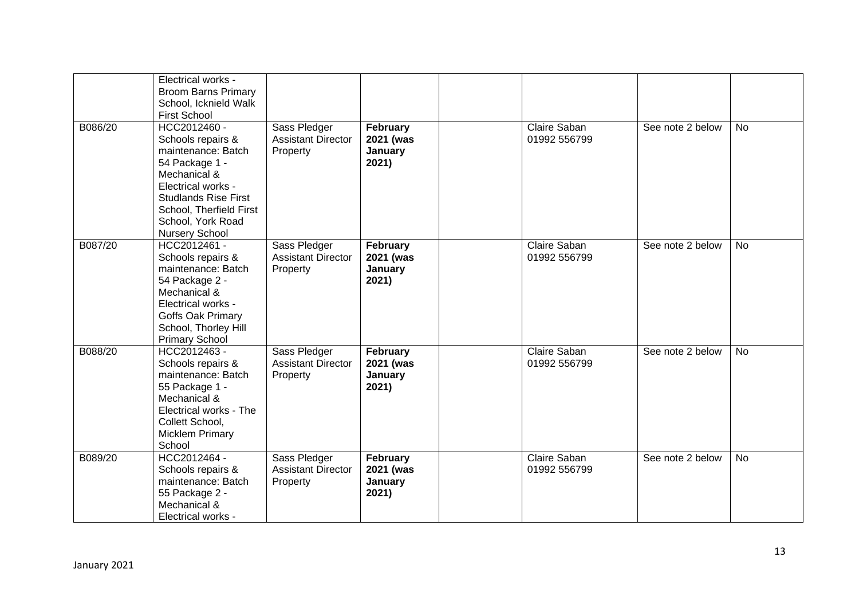|         | Electrical works -<br><b>Broom Barns Primary</b><br>School, Icknield Walk<br><b>First School</b>                                                                                                                        |                                                       |                                                  |                              |                  |           |
|---------|-------------------------------------------------------------------------------------------------------------------------------------------------------------------------------------------------------------------------|-------------------------------------------------------|--------------------------------------------------|------------------------------|------------------|-----------|
| B086/20 | HCC2012460 -<br>Schools repairs &<br>maintenance: Batch<br>54 Package 1 -<br>Mechanical &<br>Electrical works -<br><b>Studlands Rise First</b><br>School, Therfield First<br>School, York Road<br><b>Nursery School</b> | Sass Pledger<br><b>Assistant Director</b><br>Property | February<br>2021 (was<br>January<br>2021)        | Claire Saban<br>01992 556799 | See note 2 below | <b>No</b> |
| B087/20 | HCC2012461 -<br>Schools repairs &<br>maintenance: Batch<br>54 Package 2 -<br>Mechanical &<br>Electrical works -<br>Goffs Oak Primary<br>School, Thorley Hill<br><b>Primary School</b>                                   | Sass Pledger<br><b>Assistant Director</b><br>Property | February<br>2021 (was<br><b>January</b><br>2021) | Claire Saban<br>01992 556799 | See note 2 below | <b>No</b> |
| B088/20 | HCC2012463 -<br>Schools repairs &<br>maintenance: Batch<br>55 Package 1 -<br>Mechanical &<br>Electrical works - The<br>Collett School,<br><b>Micklem Primary</b><br>School                                              | Sass Pledger<br><b>Assistant Director</b><br>Property | February<br>2021 (was<br>January<br>2021)        | Claire Saban<br>01992 556799 | See note 2 below | No        |
| B089/20 | HCC2012464 -<br>Schools repairs &<br>maintenance: Batch<br>55 Package 2 -<br>Mechanical &<br>Electrical works -                                                                                                         | Sass Pledger<br><b>Assistant Director</b><br>Property | February<br>2021 (was<br>January<br>2021)        | Claire Saban<br>01992 556799 | See note 2 below | <b>No</b> |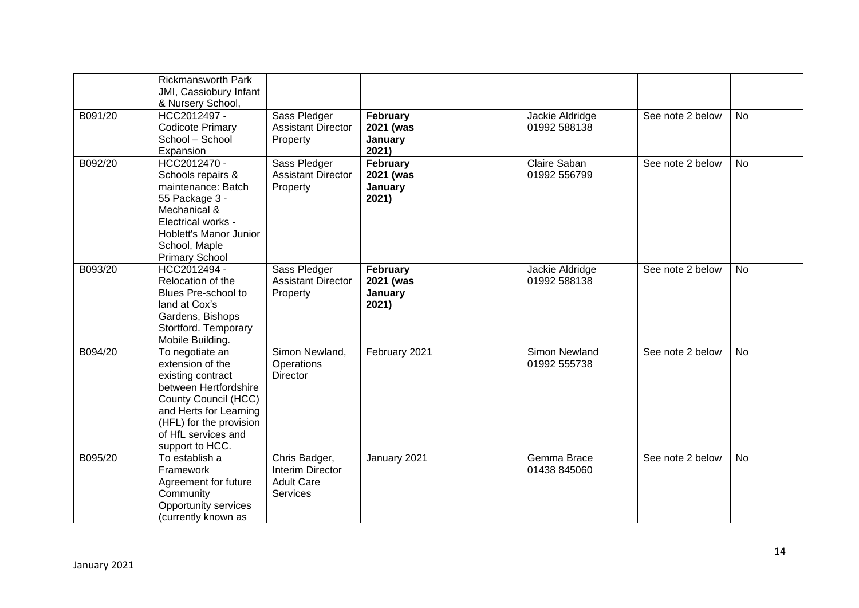|         | <b>Rickmansworth Park</b><br>JMI, Cassiobury Infant<br>& Nursery School,                                                                                                                                 |                                                                           |                                           |                                 |                  |           |
|---------|----------------------------------------------------------------------------------------------------------------------------------------------------------------------------------------------------------|---------------------------------------------------------------------------|-------------------------------------------|---------------------------------|------------------|-----------|
| B091/20 | HCC2012497 -<br><b>Codicote Primary</b><br>School - School<br>Expansion                                                                                                                                  | Sass Pledger<br><b>Assistant Director</b><br>Property                     | February<br>2021 (was<br>January<br>2021) | Jackie Aldridge<br>01992 588138 | See note 2 below | <b>No</b> |
| B092/20 | HCC2012470 -<br>Schools repairs &<br>maintenance: Batch<br>55 Package 3 -<br>Mechanical &<br>Electrical works -<br>Hoblett's Manor Junior<br>School, Maple<br><b>Primary School</b>                      | Sass Pledger<br><b>Assistant Director</b><br>Property                     | February<br>2021 (was<br>January<br>2021) | Claire Saban<br>01992 556799    | See note 2 below | <b>No</b> |
| B093/20 | HCC2012494 -<br>Relocation of the<br>Blues Pre-school to<br>land at Cox's<br>Gardens, Bishops<br>Stortford. Temporary<br>Mobile Building.                                                                | Sass Pledger<br><b>Assistant Director</b><br>Property                     | February<br>2021 (was<br>January<br>2021) | Jackie Aldridge<br>01992 588138 | See note 2 below | <b>No</b> |
| B094/20 | To negotiate an<br>extension of the<br>existing contract<br>between Hertfordshire<br>County Council (HCC)<br>and Herts for Learning<br>(HFL) for the provision<br>of HfL services and<br>support to HCC. | Simon Newland,<br>Operations<br>Director                                  | February 2021                             | Simon Newland<br>01992 555738   | See note 2 below | <b>No</b> |
| B095/20 | To establish a<br>Framework<br>Agreement for future<br>Community<br>Opportunity services<br>(currently known as                                                                                          | Chris Badger,<br>Interim Director<br><b>Adult Care</b><br><b>Services</b> | January 2021                              | Gemma Brace<br>01438 845060     | See note 2 below | <b>No</b> |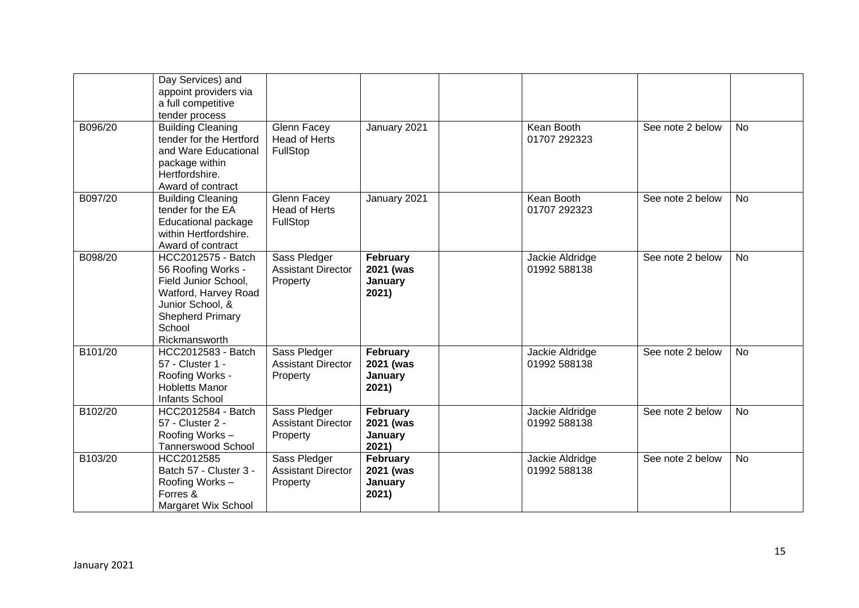|         | Day Services) and<br>appoint providers via<br>a full competitive<br>tender process                                                                                 |                                                        |                                           |                                 |                  |           |
|---------|--------------------------------------------------------------------------------------------------------------------------------------------------------------------|--------------------------------------------------------|-------------------------------------------|---------------------------------|------------------|-----------|
| B096/20 | <b>Building Cleaning</b><br>tender for the Hertford<br>and Ware Educational<br>package within<br>Hertfordshire.<br>Award of contract                               | <b>Glenn Facey</b><br><b>Head of Herts</b><br>FullStop | January 2021                              | Kean Booth<br>01707 292323      | See note 2 below | <b>No</b> |
| B097/20 | <b>Building Cleaning</b><br>tender for the EA<br><b>Educational package</b><br>within Hertfordshire.<br>Award of contract                                          | <b>Glenn Facey</b><br><b>Head of Herts</b><br>FullStop | January 2021                              | Kean Booth<br>01707 292323      | See note 2 below | No        |
| B098/20 | HCC2012575 - Batch<br>56 Roofing Works -<br>Field Junior School,<br>Watford, Harvey Road<br>Junior School, &<br><b>Shepherd Primary</b><br>School<br>Rickmansworth | Sass Pledger<br><b>Assistant Director</b><br>Property  | February<br>2021 (was<br>January<br>2021) | Jackie Aldridge<br>01992 588138 | See note 2 below | <b>No</b> |
| B101/20 | HCC2012583 - Batch<br>57 - Cluster 1 -<br>Roofing Works -<br><b>Hobletts Manor</b><br>Infants School                                                               | Sass Pledger<br><b>Assistant Director</b><br>Property  | February<br>2021 (was<br>January<br>2021) | Jackie Aldridge<br>01992 588138 | See note 2 below | <b>No</b> |
| B102/20 | HCC2012584 - Batch<br>57 - Cluster 2 -<br>Roofing Works -<br><b>Tannerswood School</b>                                                                             | Sass Pledger<br><b>Assistant Director</b><br>Property  | February<br>2021 (was<br>January<br>2021) | Jackie Aldridge<br>01992 588138 | See note 2 below | <b>No</b> |
| B103/20 | HCC2012585<br>Batch 57 - Cluster 3 -<br>Roofing Works -<br>Forres &<br>Margaret Wix School                                                                         | Sass Pledger<br><b>Assistant Director</b><br>Property  | February<br>2021 (was<br>January<br>2021) | Jackie Aldridge<br>01992 588138 | See note 2 below | <b>No</b> |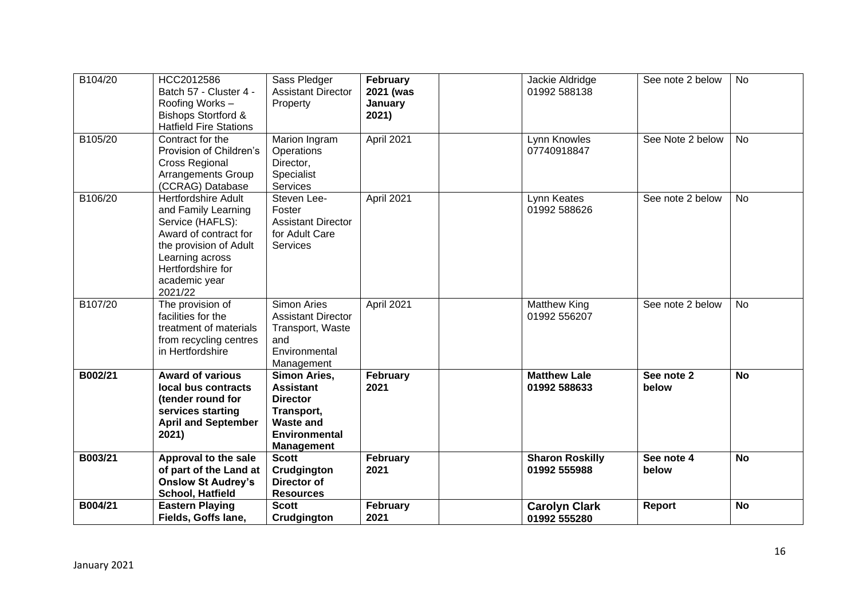| B104/20 | HCC2012586<br>Batch 57 - Cluster 4 -<br>Roofing Works -<br><b>Bishops Stortford &amp;</b><br><b>Hatfield Fire Stations</b>                                                                   | Sass Pledger<br><b>Assistant Director</b><br>Property                                                                              | February<br>2021 (was<br>January<br>2021) | Jackie Aldridge<br>01992 588138        | See note 2 below    | <b>No</b> |
|---------|----------------------------------------------------------------------------------------------------------------------------------------------------------------------------------------------|------------------------------------------------------------------------------------------------------------------------------------|-------------------------------------------|----------------------------------------|---------------------|-----------|
| B105/20 | Contract for the<br>Provision of Children's<br><b>Cross Regional</b><br><b>Arrangements Group</b><br>(CCRAG) Database                                                                        | Marion Ingram<br>Operations<br>Director,<br>Specialist<br>Services                                                                 | April 2021                                | Lynn Knowles<br>07740918847            | See Note 2 below    | <b>No</b> |
| B106/20 | <b>Hertfordshire Adult</b><br>and Family Learning<br>Service (HAFLS):<br>Award of contract for<br>the provision of Adult<br>Learning across<br>Hertfordshire for<br>academic year<br>2021/22 | Steven Lee-<br>Foster<br><b>Assistant Director</b><br>for Adult Care<br><b>Services</b>                                            | April 2021                                | Lynn Keates<br>01992 588626            | See note 2 below    | <b>No</b> |
| B107/20 | The provision of<br>facilities for the<br>treatment of materials<br>from recycling centres<br>in Hertfordshire                                                                               | <b>Simon Aries</b><br><b>Assistant Director</b><br>Transport, Waste<br>and<br>Environmental<br>Management                          | April 2021                                | <b>Matthew King</b><br>01992 556207    | See note 2 below    | <b>No</b> |
| B002/21 | <b>Award of various</b><br>local bus contracts<br>(tender round for<br>services starting<br><b>April and September</b><br>2021)                                                              | <b>Simon Aries,</b><br><b>Assistant</b><br><b>Director</b><br>Transport,<br><b>Waste and</b><br>Environmental<br><b>Management</b> | February<br>2021                          | <b>Matthew Lale</b><br>01992 588633    | See note 2<br>below | <b>No</b> |
| B003/21 | Approval to the sale<br>of part of the Land at<br><b>Onslow St Audrey's</b><br>School, Hatfield                                                                                              | <b>Scott</b><br>Crudgington<br>Director of<br><b>Resources</b>                                                                     | February<br>2021                          | <b>Sharon Roskilly</b><br>01992 555988 | See note 4<br>below | <b>No</b> |
| B004/21 | <b>Eastern Playing</b><br>Fields, Goffs lane,                                                                                                                                                | <b>Scott</b><br>Crudgington                                                                                                        | February<br>2021                          | <b>Carolyn Clark</b><br>01992 555280   | Report              | <b>No</b> |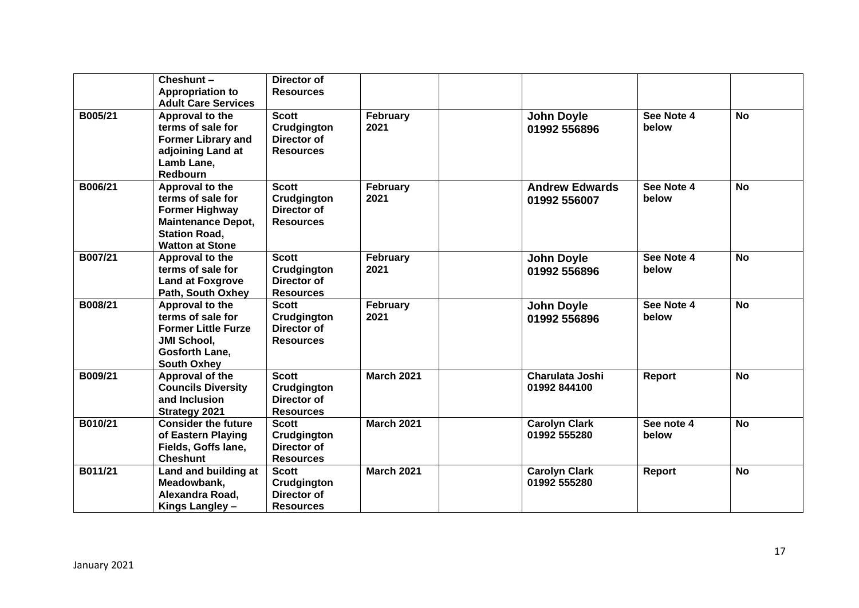|         | Cheshunt-<br><b>Appropriation to</b><br><b>Adult Care Services</b>                                                                           | Director of<br><b>Resources</b>                                       |                   |                                       |                     |           |
|---------|----------------------------------------------------------------------------------------------------------------------------------------------|-----------------------------------------------------------------------|-------------------|---------------------------------------|---------------------|-----------|
| B005/21 | Approval to the<br>terms of sale for<br><b>Former Library and</b><br>adjoining Land at<br>Lamb Lane,<br><b>Redbourn</b>                      | <b>Scott</b><br><b>Crudgington</b><br>Director of<br><b>Resources</b> | February<br>2021  | <b>John Doyle</b><br>01992 556896     | See Note 4<br>below | <b>No</b> |
| B006/21 | Approval to the<br>terms of sale for<br><b>Former Highway</b><br><b>Maintenance Depot,</b><br><b>Station Road,</b><br><b>Watton at Stone</b> | <b>Scott</b><br>Crudgington<br>Director of<br><b>Resources</b>        | February<br>2021  | <b>Andrew Edwards</b><br>01992 556007 | See Note 4<br>below | <b>No</b> |
| B007/21 | Approval to the<br>terms of sale for<br><b>Land at Foxgrove</b><br>Path, South Oxhey                                                         | <b>Scott</b><br>Crudgington<br>Director of<br><b>Resources</b>        | February<br>2021  | <b>John Doyle</b><br>01992 556896     | See Note 4<br>below | <b>No</b> |
| B008/21 | Approval to the<br>terms of sale for<br><b>Former Little Furze</b><br><b>JMI School,</b><br>Gosforth Lane,<br><b>South Oxhey</b>             | <b>Scott</b><br>Crudgington<br>Director of<br><b>Resources</b>        | February<br>2021  | <b>John Doyle</b><br>01992 556896     | See Note 4<br>below | <b>No</b> |
| B009/21 | Approval of the<br><b>Councils Diversity</b><br>and Inclusion<br><b>Strategy 2021</b>                                                        | <b>Scott</b><br>Crudgington<br>Director of<br><b>Resources</b>        | <b>March 2021</b> | Charulata Joshi<br>01992 844100       | <b>Report</b>       | <b>No</b> |
| B010/21 | <b>Consider the future</b><br>of Eastern Playing<br>Fields, Goffs lane,<br><b>Cheshunt</b>                                                   | <b>Scott</b><br><b>Crudgington</b><br>Director of<br><b>Resources</b> | <b>March 2021</b> | <b>Carolyn Clark</b><br>01992 555280  | See note 4<br>below | <b>No</b> |
| B011/21 | Land and building at<br>Meadowbank,<br>Alexandra Road,<br>Kings Langley -                                                                    | <b>Scott</b><br>Crudgington<br>Director of<br><b>Resources</b>        | <b>March 2021</b> | <b>Carolyn Clark</b><br>01992 555280  | Report              | <b>No</b> |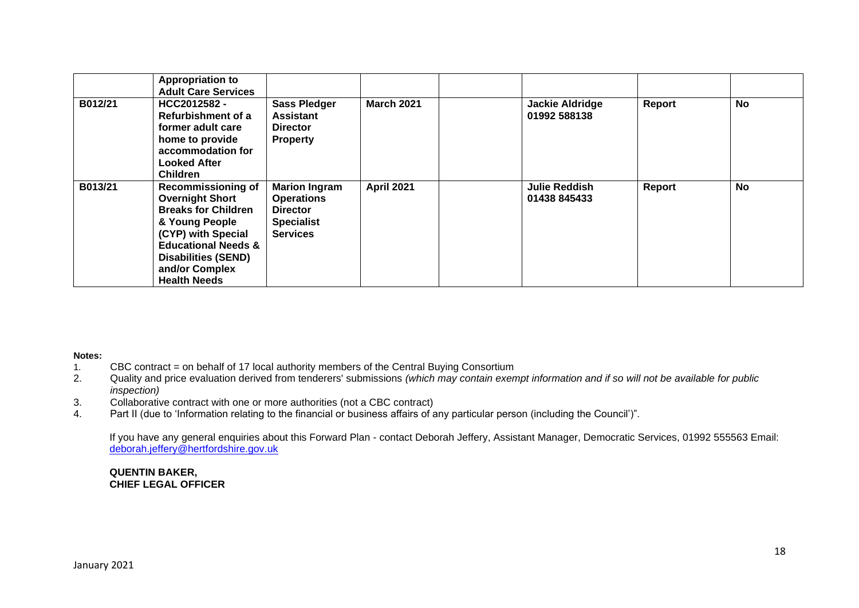|         | <b>Appropriation to</b><br><b>Adult Care Services</b>                                                                                                                                                                              |                                                                                                      |                   |                                        |        |           |
|---------|------------------------------------------------------------------------------------------------------------------------------------------------------------------------------------------------------------------------------------|------------------------------------------------------------------------------------------------------|-------------------|----------------------------------------|--------|-----------|
| B012/21 | HCC2012582 -<br>Refurbishment of a<br>former adult care<br>home to provide<br>accommodation for<br><b>Looked After</b><br><b>Children</b>                                                                                          | <b>Sass Pledger</b><br><b>Assistant</b><br><b>Director</b><br><b>Property</b>                        | <b>March 2021</b> | <b>Jackie Aldridge</b><br>01992 588138 | Report | <b>No</b> |
| B013/21 | <b>Recommissioning of</b><br><b>Overnight Short</b><br><b>Breaks for Children</b><br>& Young People<br>(CYP) with Special<br><b>Educational Needs &amp;</b><br><b>Disabilities (SEND)</b><br>and/or Complex<br><b>Health Needs</b> | <b>Marion Ingram</b><br><b>Operations</b><br><b>Director</b><br><b>Specialist</b><br><b>Services</b> | <b>April 2021</b> | <b>Julie Reddish</b><br>01438 845433   | Report | <b>No</b> |

#### **Notes:**

- 1. CBC contract = on behalf of 17 local authority members of the Central Buying Consortium
- 2. Quality and price evaluation derived from tenderers' submissions *(which may contain exempt information and if so will not be available for public inspection)*
- 3. Collaborative contract with one or more authorities (not a CBC contract)
- 4. Part II (due to 'Information relating to the financial or business affairs of any particular person (including the Council')".

If you have any general enquiries about this Forward Plan - contact Deborah Jeffery, Assistant Manager, Democratic Services, 01992 555563 Email: [deborah.jeffery@hertfordshire.gov.uk](mailto:deborah.jeffery@hertfordshire.gov.uk) 

#### **QUENTIN BAKER, CHIEF LEGAL OFFICER**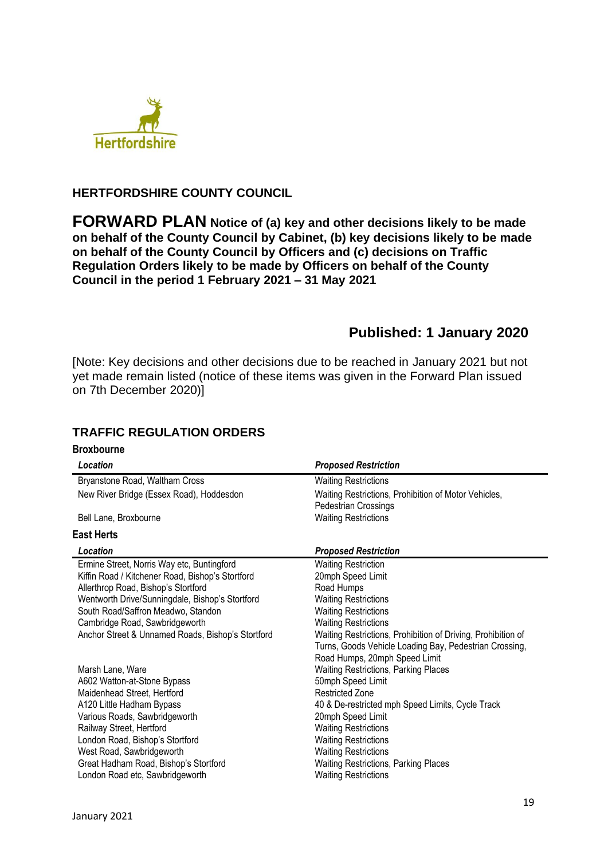

## **HERTFORDSHIRE COUNTY COUNCIL**

**FORWARD PLAN Notice of (a) key and other decisions likely to be made on behalf of the County Council by Cabinet, (b) key decisions likely to be made on behalf of the County Council by Officers and (c) decisions on Traffic Regulation Orders likely to be made by Officers on behalf of the County Council in the period 1 February 2021 – 31 May 2021**

# **Published: 1 January 2020**

[Note: Key decisions and other decisions due to be reached in January 2021 but not yet made remain listed (notice of these items was given in the Forward Plan issued on 7th December 2020)]

## **TRAFFIC REGULATION ORDERS**

### **Broxbourne**

| Location                                          | <b>Proposed Restriction</b>                                                  |
|---------------------------------------------------|------------------------------------------------------------------------------|
| Bryanstone Road, Waltham Cross                    | <b>Waiting Restrictions</b>                                                  |
| New River Bridge (Essex Road), Hoddesdon          | Waiting Restrictions, Prohibition of Motor Vehicles,<br>Pedestrian Crossings |
| Bell Lane, Broxbourne                             | <b>Waiting Restrictions</b>                                                  |
| <b>East Herts</b>                                 |                                                                              |
| Location                                          | <b>Proposed Restriction</b>                                                  |
| Ermine Street, Norris Way etc, Buntingford        | <b>Waiting Restriction</b>                                                   |
| Kiffin Road / Kitchener Road, Bishop's Stortford  | 20mph Speed Limit                                                            |
| Allerthrop Road, Bishop's Stortford               | Road Humps                                                                   |
| Wentworth Drive/Sunningdale, Bishop's Stortford   | <b>Waiting Restrictions</b>                                                  |
| South Road/Saffron Meadwo, Standon                | <b>Waiting Restrictions</b>                                                  |
| Cambridge Road, Sawbridgeworth                    | <b>Waiting Restrictions</b>                                                  |
| Anchor Street & Unnamed Roads, Bishop's Stortford | Waiting Restrictions, Prohibition of Driving, Prohibition of                 |
|                                                   | Turns, Goods Vehicle Loading Bay, Pedestrian Crossing,                       |
|                                                   | Road Humps, 20mph Speed Limit                                                |
| Marsh Lane, Ware                                  | <b>Waiting Restrictions, Parking Places</b>                                  |
| A602 Watton-at-Stone Bypass                       | 50mph Speed Limit                                                            |
| Maidenhead Street, Hertford                       | <b>Restricted Zone</b>                                                       |
| A120 Little Hadham Bypass                         | 40 & De-restricted mph Speed Limits, Cycle Track                             |
| Various Roads, Sawbridgeworth                     | 20mph Speed Limit                                                            |
| Railway Street, Hertford                          | <b>Waiting Restrictions</b>                                                  |
| London Road, Bishop's Stortford                   | <b>Waiting Restrictions</b>                                                  |
| West Road, Sawbridgeworth                         | <b>Waiting Restrictions</b>                                                  |
| Great Hadham Road, Bishop's Stortford             | Waiting Restrictions, Parking Places                                         |
| London Road etc, Sawbridgeworth                   | <b>Waiting Restrictions</b>                                                  |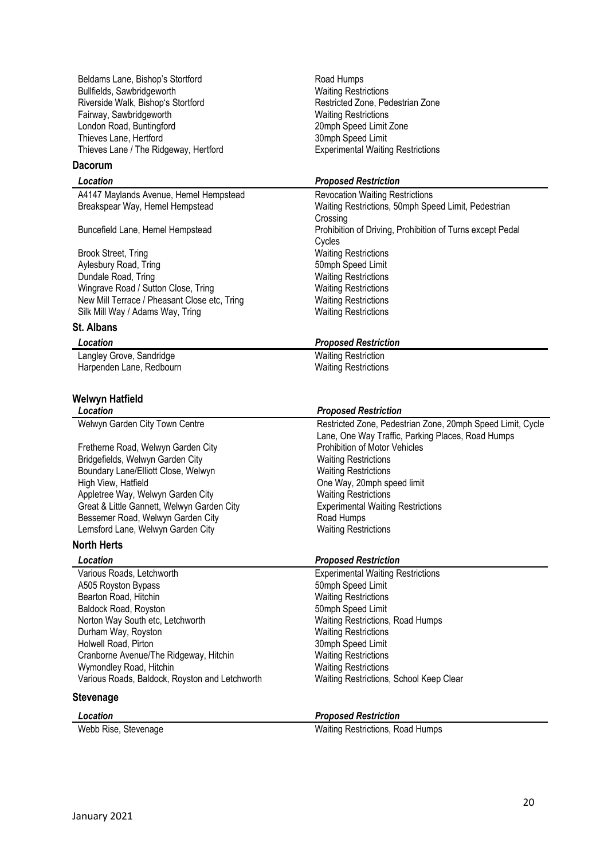Beldams Lane, Bishop's Stortford Road Humps Bullfields, Sawbridgeworth Waiting Restrictions Riverside Walk, Bishop's Stortford **Restricted Zone, Pedestrian Zone** Fairway, Sawbridgeworth **Waiting Restrictions** London Road, Buntingford 20mph Speed Limit Zone Thieves Lane, Hertford 30mph Speed Limit Thieves Lane / The Ridgeway, Hertford Experimental Waiting Restrictions

### **Dacorum**

A4147 Maylands Avenue, Hemel Hempstead Revocation Waiting Restrictions<br>Breakspear Way, Hemel Hempstead Maiting Restrictions, 50mph Spe

Brook Street, Tring Waiting Restrictions<br>
Aylesbury Road, Tring New York 1999<br>
Somph Speed Limit Aylesbury Road, Tring 30 and Tring 50mph Speed Limit<br>50mph Speed Limit<br>50mph Speed Limit Dundale Road, Tring Wingrave Road / Sutton Close, Tring Waiting Restrictions New Mill Terrace / Pheasant Close etc, Tring Waiting Restrictions Silk Mill Way / Adams Way, Tring Waiting Restrictions

## **St. Albans**

Langley Grove, Sandridge Waiting Restriction Harpenden Lane, Redbourn Waiting Restrictions

#### **Welwyn Hatfield**

| Location                                   | <b>Proposed Restriction</b>                                |
|--------------------------------------------|------------------------------------------------------------|
| Welwyn Garden City Town Centre             | Restricted Zone, Pedestrian Zone, 20mph Speed Limit, Cycle |
|                                            | Lane, One Way Traffic, Parking Places, Road Humps          |
| Fretherne Road, Welwyn Garden City         | Prohibition of Motor Vehicles                              |
| Bridgefields, Welwyn Garden City           | <b>Waiting Restrictions</b>                                |
| Boundary Lane/Elliott Close, Welwyn        | <b>Waiting Restrictions</b>                                |
| High View, Hatfield                        | One Way, 20mph speed limit                                 |
| Appletree Way, Welwyn Garden City          | <b>Waiting Restrictions</b>                                |
| Great & Little Gannett, Welwyn Garden City | <b>Experimental Waiting Restrictions</b>                   |
| Bessemer Road, Welwyn Garden City          | Road Humps                                                 |
| Lemsford Lane, Welwyn Garden City          | <b>Waiting Restrictions</b>                                |
|                                            |                                                            |

## **North Herts**

Various Roads, Letchworth **Experimental Waiting Restrictions** A505 Royston Bypass<br>
Bearton Road, Hitchin Speed Limit<br>
Bearton Road, Hitchin Speed Limit<br>
2011 - Waiting Restrictions Bearton Road, Hitchin Waiting Restrictions<br>
Baldock Road, Royston Manuel Company Somph Speed Limit Baldock Road, Royston Norton Way South etc, Letchworth Waiting Restrictions, Road Humps<br>
Durham Way, Royston<br>
Waiting Restrictions Durham Way, Royston Holwell Road, Pirton **30mph** Speed Limit Cranborne Avenue/The Ridgeway, Hitchin Waiting Restrictions Wymondley Road, Hitchin Waiting Restrictions<br>Various Roads, Baldock, Rovston and Letchworth Waiting Restrictions, School Keep Clear Various Roads, Baldock, Royston and Letchworth

#### **Stevenage**

### *Location Proposed Restriction*

Waiting Restrictions, 50mph Speed Limit, Pedestrian Crossing Buncefield Lane, Hemel Hempstead Prohibition of Driving, Prohibition of Turns except Pedal **Cycles** 

#### *Location Proposed Restriction*

### *Location Proposed Restriction*

### *Location Proposed Restriction*

Webb Rise, Stevenage Waiting Restrictions, Road Humps